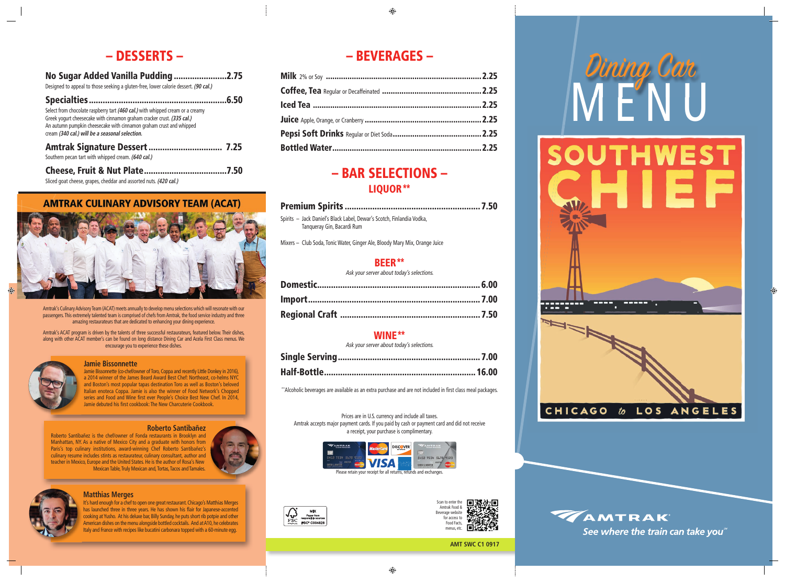# – BEVERAGES –

## – BAR SELECTIONS – LIQUOR \*\*

Spirits – Jack Daniel's Black Label, Dewar's Scotch, Finlandia Vodka, Tanqueray Gin, Bacardi Rum

Mixers – Club Soda, Tonic Water, Ginger Ale, Bloody Mary Mix, Orange Juice

### BEER\*\*

Ask your server about today's selections.

Scan to enter the Amtrak Food & Beverage website for access to Food Facts, menus, etc.



### WINE\*\*

Ask your server about today's selections.

Jamie Bissonnette (co-chef/owner of Toro, Coppa and recently Little Donkey in 2016), a 2014 winner of the James Beard Award Best Chef: Northeast, co-helms NYC and Boston's most popular tapas destination Toro as well as Boston's beloved Italian enoteca Coppa. Jamie is also the winner of Food Network's Chopped series and Food and Wine first ever People's Choice Best New Chef. In 2014, Jamie debuted his first cookbook: The New Charcuterie Cookbook.

\*\*Alcoholic beverages are available as an extra purchase and are not included in first class meal packages.

Prices are in U.S. currency and include all taxes. Amtrak accepts major payment cards. If you paid by cash or payment card and did not receive a receipt, your purchase is complimentary.





Amtrak's Culinary Advisory Team (ACAT) meets annually to develop menu selections which will resonate with our passengers. This extremely talented team is comprised of chefs from Amtrak, the food service industry and three amazing restaurateurs that are dedicated to enhancing your dining experience.

Amtrak's ACAT program is driven by the talents of three successful restaurateurs, featured below. Their dishes, along with other ACAT member's can be found on long distance Dining Car and Acela First Class menus. We encourage you to experience these dishes.



#### **Jamie Bissonnette**

#### **Roberto Santibañez**

Roberto Santibañez is the chef/owner of Fonda restaurants in Brooklyn and Manhattan, NY. As a native of Mexico City and a graduate with honors from Paris's top culinary institutions, award-winning Chef Roberto Santibañez's culinary resume includes stints as restaurateur, culinary consultant, author and teacher in Mexico, Europe and the United States. He is the author of Rosa's New Mexican Table, Truly Mexican and, Tortas, Tacos and Tamales.





#### **Matthias Merges**

It's hard enough for a chef to open one great restaurant. Chicago's Matthias Merges has launched three in three years. He has shown his flair for Japanese-accented cooking at Yusho. At his deluxe bar, Billy Sunday, he puts short rib potpie and other American dishes on the menu alongside bottled cocktails. And at A10, he celebrates Italy and France with recipes like bucatini carbonara topped with a 60-minute egg.

## – DESSERTS –

#### No Sugar Added Vanilla Pudding .......................2.75 Designed to appeal to those seeking a gluten-free, lower calorie dessert. **(90 cal.)**

| Select from chocolate raspberry tart (460 cal.) with whipped cream or a creamy<br>Greek yogurt cheesecake with cinnamon graham cracker crust. (335 cal.)<br>An autumn pumpkin cheesecake with cinnamon graham crust and whipped<br>cream (340 cal.) will be a seasonal selection. |  |
|-----------------------------------------------------------------------------------------------------------------------------------------------------------------------------------------------------------------------------------------------------------------------------------|--|
| Southern pecan tart with whipped cream. (640 cal.)                                                                                                                                                                                                                                |  |
|                                                                                                                                                                                                                                                                                   |  |

## Cheese, Fruit & Nut Plate ....................................7.50

Sliced goat cheese, grapes, cheddar and assorted nuts. **(420 cal.)**

### **AMTRAK CULINARY ADVISORY TEAM (ACAT)**



#### **AMT SWC C1 0917**